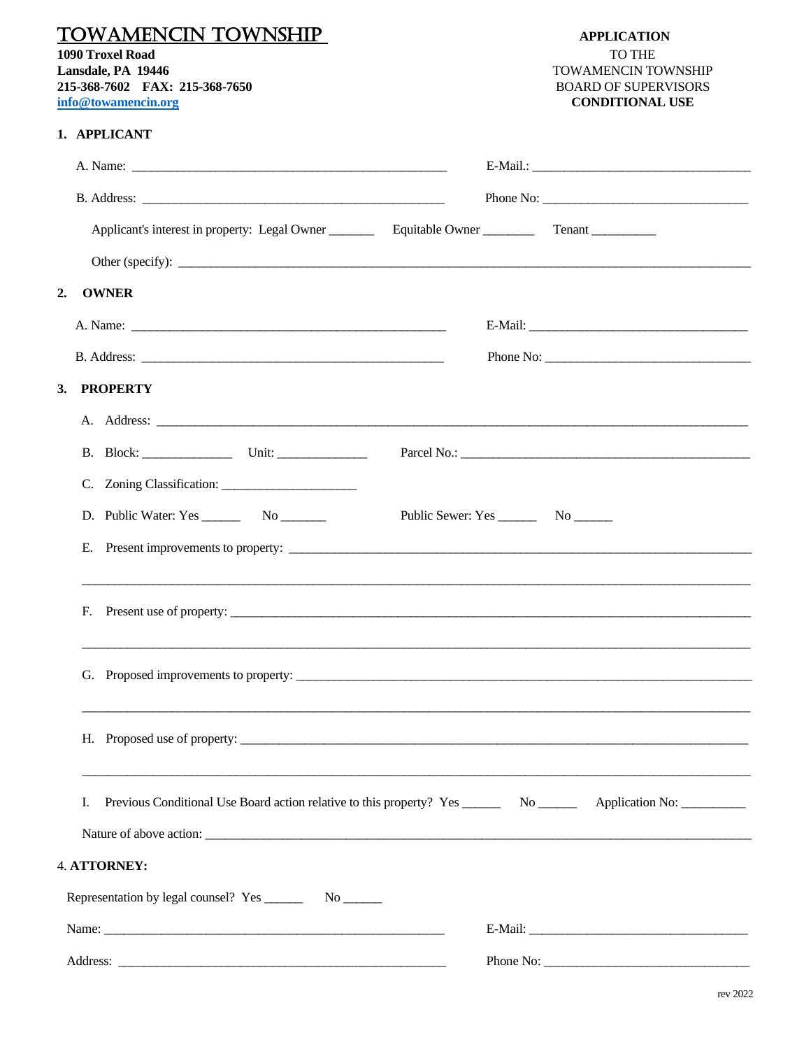| <b>TOWAMENCIN TOWNSHIP</b><br>1090 Troxel Road<br>Lansdale, PA 19446<br>215-368-7602 FAX: 215-368-7650<br>info@towamencin.org | <b>APPLICATION</b><br><b>TO THE</b><br>TOWAMENCIN TOWNSHIP<br><b>BOARD OF SUPERVISORS</b><br><b>CONDITIONAL USE</b>    |
|-------------------------------------------------------------------------------------------------------------------------------|------------------------------------------------------------------------------------------------------------------------|
| 1. APPLICANT                                                                                                                  |                                                                                                                        |
|                                                                                                                               |                                                                                                                        |
|                                                                                                                               |                                                                                                                        |
|                                                                                                                               |                                                                                                                        |
|                                                                                                                               |                                                                                                                        |
| <b>OWNER</b><br>2.                                                                                                            |                                                                                                                        |
|                                                                                                                               |                                                                                                                        |
|                                                                                                                               |                                                                                                                        |
| <b>PROPERTY</b><br>3.                                                                                                         |                                                                                                                        |
|                                                                                                                               |                                                                                                                        |
|                                                                                                                               |                                                                                                                        |
|                                                                                                                               |                                                                                                                        |
|                                                                                                                               |                                                                                                                        |
|                                                                                                                               |                                                                                                                        |
| F. Present use of property:                                                                                                   |                                                                                                                        |
|                                                                                                                               |                                                                                                                        |
|                                                                                                                               |                                                                                                                        |
| Ι.                                                                                                                            | Previous Conditional Use Board action relative to this property? Yes _________ No __________ Application No: _________ |
|                                                                                                                               |                                                                                                                        |
| 4. ATTORNEY:                                                                                                                  |                                                                                                                        |
|                                                                                                                               |                                                                                                                        |
|                                                                                                                               |                                                                                                                        |
|                                                                                                                               |                                                                                                                        |